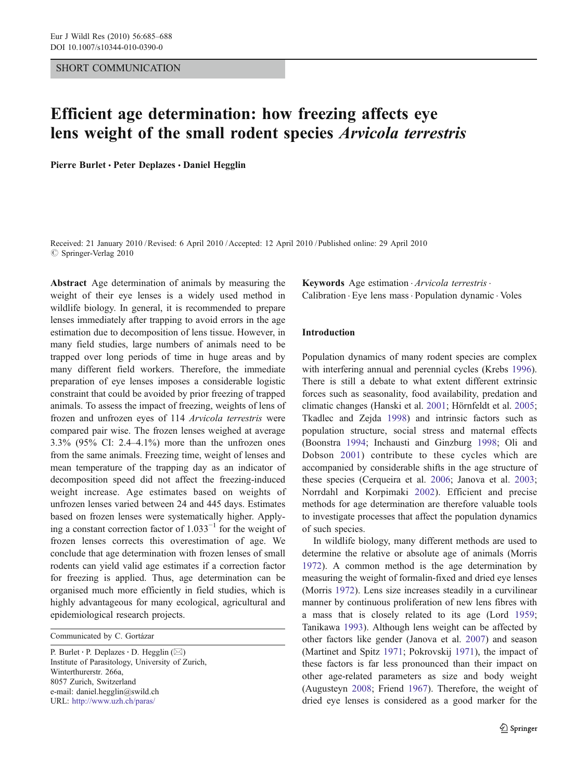### SHORT COMMUNICATION

# Efficient age determination: how freezing affects eye lens weight of the small rodent species Arvicola terrestris

Pierre Burlet · Peter Deplazes · Daniel Hegglin

Received: 21 January 2010 /Revised: 6 April 2010 /Accepted: 12 April 2010 / Published online: 29 April 2010  $\oslash$  Springer-Verlag 2010

Abstract Age determination of animals by measuring the weight of their eye lenses is a widely used method in wildlife biology. In general, it is recommended to prepare lenses immediately after trapping to avoid errors in the age estimation due to decomposition of lens tissue. However, in many field studies, large numbers of animals need to be trapped over long periods of time in huge areas and by many different field workers. Therefore, the immediate preparation of eye lenses imposes a considerable logistic constraint that could be avoided by prior freezing of trapped animals. To assess the impact of freezing, weights of lens of frozen and unfrozen eyes of 114 Arvicola terrestris were compared pair wise. The frozen lenses weighed at average 3.3% (95% CI: 2.4–4.1%) more than the unfrozen ones from the same animals. Freezing time, weight of lenses and mean temperature of the trapping day as an indicator of decomposition speed did not affect the freezing-induced weight increase. Age estimates based on weights of unfrozen lenses varied between 24 and 445 days. Estimates based on frozen lenses were systematically higher. Applying a constant correction factor of  $1.033^{-1}$  for the weight of frozen lenses corrects this overestimation of age. We conclude that age determination with frozen lenses of small rodents can yield valid age estimates if a correction factor for freezing is applied. Thus, age determination can be organised much more efficiently in field studies, which is highly advantageous for many ecological, agricultural and epidemiological research projects.

Communicated by C. Gortázar

P. Burlet  $\cdot$  P. Deplazes  $\cdot$  D. Hegglin ( $\boxtimes$ ) Institute of Parasitology, University of Zurich, Winterthurerstr. 266a, 8057 Zurich, Switzerland e-mail: daniel.hegglin@swild.ch URL: http://www.uzh.ch/paras/

Keywords Age estimation . Arvicola terrestris . Calibration . Eye lens mass. Population dynamic . Voles

## Introduction

Population dynamics of many rodent species are complex with interfering annual and perennial cycles (Krebs [1996\)](#page-3-0). There is still a debate to what extent different extrinsic forces such as seasonality, food availability, predation and climatic changes (Hanski et al. [2001](#page-3-0); Hörnfeldt et al. [2005;](#page-3-0) Tkadlec and Zejda [1998](#page-3-0)) and intrinsic factors such as population structure, social stress and maternal effects (Boonstra [1994;](#page-3-0) Inchausti and Ginzburg [1998](#page-3-0); Oli and Dobson [2001\)](#page-3-0) contribute to these cycles which are accompanied by considerable shifts in the age structure of these species (Cerqueira et al. [2006](#page-3-0); Janova et al. [2003;](#page-3-0) Norrdahl and Korpimaki [2002\)](#page-3-0). Efficient and precise methods for age determination are therefore valuable tools to investigate processes that affect the population dynamics of such species.

In wildlife biology, many different methods are used to determine the relative or absolute age of animals (Morris [1972](#page-3-0)). A common method is the age determination by measuring the weight of formalin-fixed and dried eye lenses (Morris [1972](#page-3-0)). Lens size increases steadily in a curvilinear manner by continuous proliferation of new lens fibres with a mass that is closely related to its age (Lord [1959;](#page-3-0) Tanikawa [1993](#page-3-0)). Although lens weight can be affected by other factors like gender (Janova et al. [2007\)](#page-3-0) and season (Martinet and Spitz [1971](#page-3-0); Pokrovskij [1971\)](#page-3-0), the impact of these factors is far less pronounced than their impact on other age-related parameters as size and body weight (Augusteyn [2008;](#page-3-0) Friend [1967](#page-3-0)). Therefore, the weight of dried eye lenses is considered as a good marker for the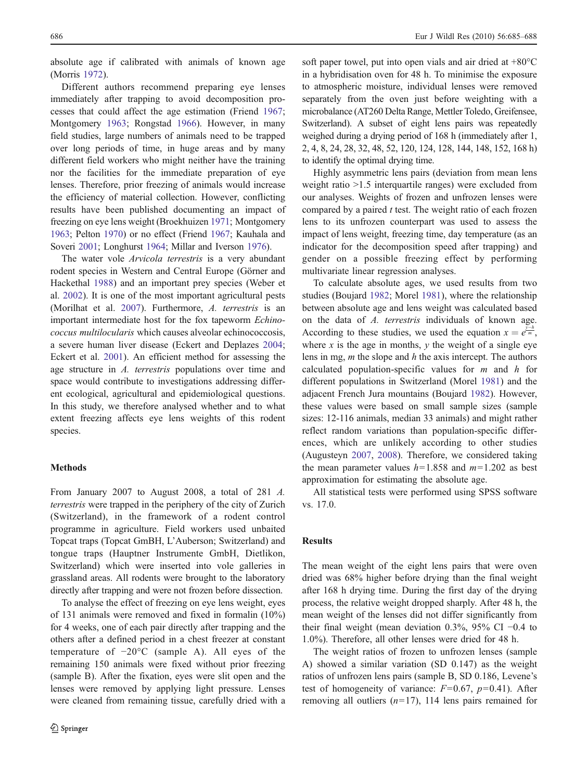absolute age if calibrated with animals of known age (Morris [1972](#page-3-0)).

Different authors recommend preparing eye lenses immediately after trapping to avoid decomposition processes that could affect the age estimation (Friend [1967](#page-3-0); Montgomery [1963](#page-3-0); Rongstad [1966](#page-3-0)). However, in many field studies, large numbers of animals need to be trapped over long periods of time, in huge areas and by many different field workers who might neither have the training nor the facilities for the immediate preparation of eye lenses. Therefore, prior freezing of animals would increase the efficiency of material collection. However, conflicting results have been published documenting an impact of freezing on eye lens weight (Broekhuizen [1971;](#page-3-0) Montgomery [1963;](#page-3-0) Pelton [1970\)](#page-3-0) or no effect (Friend [1967;](#page-3-0) Kauhala and Soveri [2001](#page-3-0); Longhurst [1964;](#page-3-0) Millar and Iverson [1976\)](#page-3-0).

The water vole Arvicola terrestris is a very abundant rodent species in Western and Central Europe (Görner and Hackethal [1988\)](#page-3-0) and an important prey species (Weber et al. [2002\)](#page-3-0). It is one of the most important agricultural pests (Morilhat et al. [2007\)](#page-3-0). Furthermore, A. terrestris is an important intermediate host for the fox tapeworm Echinococcus multilocularis which causes alveolar echinococcosis, a severe human liver disease (Eckert and Deplazes [2004](#page-3-0); Eckert et al. [2001](#page-3-0)). An efficient method for assessing the age structure in A. terrestris populations over time and space would contribute to investigations addressing different ecological, agricultural and epidemiological questions. In this study, we therefore analysed whether and to what extent freezing affects eye lens weights of this rodent species.

#### Methods

From January 2007 to August 2008, a total of 281 A. terrestris were trapped in the periphery of the city of Zurich (Switzerland), in the framework of a rodent control programme in agriculture. Field workers used unbaited Topcat traps (Topcat GmBH, L'Auberson; Switzerland) and tongue traps (Hauptner Instrumente GmbH, Dietlikon, Switzerland) which were inserted into vole galleries in grassland areas. All rodents were brought to the laboratory directly after trapping and were not frozen before dissection.

To analyse the effect of freezing on eye lens weight, eyes of 131 animals were removed and fixed in formalin (10%) for 4 weeks, one of each pair directly after trapping and the others after a defined period in a chest freezer at constant temperature of −20°C (sample A). All eyes of the remaining 150 animals were fixed without prior freezing (sample B). After the fixation, eyes were slit open and the lenses were removed by applying light pressure. Lenses were cleaned from remaining tissue, carefully dried with a soft paper towel, put into open vials and air dried at  $+80^{\circ}$ C in a hybridisation oven for 48 h. To minimise the exposure to atmospheric moisture, individual lenses were removed separately from the oven just before weighting with a microbalance (AT260 Delta Range, Mettler Toledo, Greifensee, Switzerland). A subset of eight lens pairs was repeatedly weighed during a drying period of 168 h (immediately after 1, 2, 4, 8, 24, 28, 32, 48, 52, 120, 124, 128, 144, 148, 152, 168 h) to identify the optimal drying time.

Highly asymmetric lens pairs (deviation from mean lens weight ratio >1.5 interquartile ranges) were excluded from our analyses. Weights of frozen and unfrozen lenses were compared by a paired  $t$  test. The weight ratio of each frozen lens to its unfrozen counterpart was used to assess the impact of lens weight, freezing time, day temperature (as an indicator for the decomposition speed after trapping) and gender on a possible freezing effect by performing multivariate linear regression analyses.

To calculate absolute ages, we used results from two studies (Boujard [1982](#page-3-0); Morel [1981](#page-3-0)), where the relationship between absolute age and lens weight was calculated based on the data of A. terrestris individuals of known age. According to these studies, we used the equation  $x = e^{\frac{\sum h}{m}}$ , where x is the age in months,  $y$  the weight of a single eye lens in mg,  $m$  the slope and  $h$  the axis intercept. The authors calculated population-specific values for  $m$  and  $h$  for different populations in Switzerland (Morel [1981](#page-3-0)) and the adjacent French Jura mountains (Boujard [1982\)](#page-3-0). However, these values were based on small sample sizes (sample sizes: 12-116 animals, median 33 animals) and might rather reflect random variations than population-specific differences, which are unlikely according to other studies (Augusteyn [2007](#page-3-0), [2008\)](#page-3-0). Therefore, we considered taking the mean parameter values  $h=1.858$  and  $m=1.202$  as best approximation for estimating the absolute age.

All statistical tests were performed using SPSS software vs. 17.0.

## **Results**

The mean weight of the eight lens pairs that were oven dried was 68% higher before drying than the final weight after 168 h drying time. During the first day of the drying process, the relative weight dropped sharply. After 48 h, the mean weight of the lenses did not differ significantly from their final weight (mean deviation 0.3%, 95% CI −0.4 to 1.0%). Therefore, all other lenses were dried for 48 h.

The weight ratios of frozen to unfrozen lenses (sample A) showed a similar variation (SD 0.147) as the weight ratios of unfrozen lens pairs (sample B, SD 0.186, Levene's test of homogeneity of variance:  $F=0.67$ ,  $p=0.41$ ). After removing all outliers  $(n=17)$ , 114 lens pairs remained for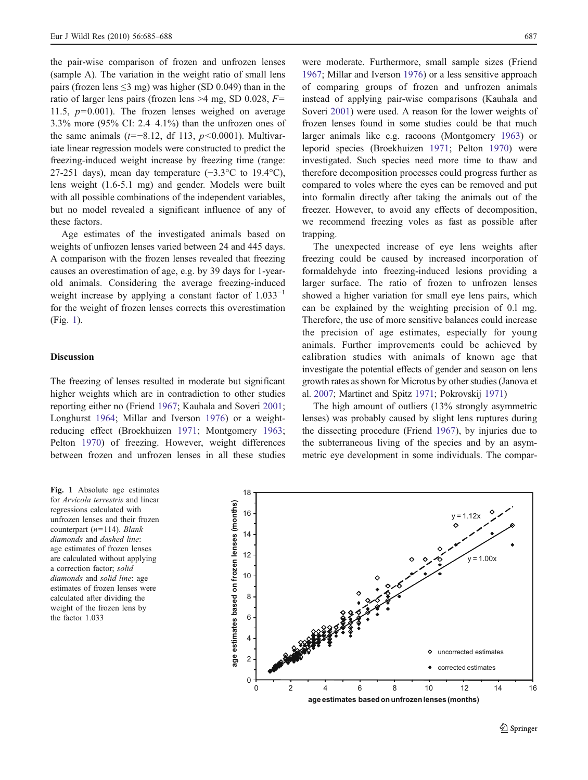the pair-wise comparison of frozen and unfrozen lenses (sample A). The variation in the weight ratio of small lens pairs (frozen lens  $\leq$ 3 mg) was higher (SD 0.049) than in the ratio of larger lens pairs (frozen lens  $>4$  mg, SD 0.028,  $F=$ 11.5,  $p=0.001$ ). The frozen lenses weighed on average 3.3% more (95% CI: 2.4–4.1%) than the unfrozen ones of the same animals ( $t=-8.12$ , df 113,  $p<0.0001$ ). Multivariate linear regression models were constructed to predict the freezing-induced weight increase by freezing time (range: 27-251 days), mean day temperature  $(-3.3^{\circ}C)$  to 19.4°C), lens weight (1.6-5.1 mg) and gender. Models were built with all possible combinations of the independent variables, but no model revealed a significant influence of any of these factors.

Age estimates of the investigated animals based on weights of unfrozen lenses varied between 24 and 445 days. A comparison with the frozen lenses revealed that freezing causes an overestimation of age, e.g. by 39 days for 1-yearold animals. Considering the average freezing-induced weight increase by applying a constant factor of  $1.033<sup>-1</sup>$ for the weight of frozen lenses corrects this overestimation (Fig. 1).

## Discussion

The freezing of lenses resulted in moderate but significant higher weights which are in contradiction to other studies reporting either no (Friend [1967;](#page-3-0) Kauhala and Soveri [2001](#page-3-0); Longhurst [1964;](#page-3-0) Millar and Iverson [1976](#page-3-0)) or a weightreducing effect (Broekhuizen [1971;](#page-3-0) Montgomery [1963](#page-3-0); Pelton [1970\)](#page-3-0) of freezing. However, weight differences between frozen and unfrozen lenses in all these studies

were moderate. Furthermore, small sample sizes (Friend [1967](#page-3-0); Millar and Iverson [1976\)](#page-3-0) or a less sensitive approach of comparing groups of frozen and unfrozen animals instead of applying pair-wise comparisons (Kauhala and Soveri [2001](#page-3-0)) were used. A reason for the lower weights of frozen lenses found in some studies could be that much larger animals like e.g. racoons (Montgomery [1963](#page-3-0)) or leporid species (Broekhuizen [1971](#page-3-0); Pelton [1970\)](#page-3-0) were investigated. Such species need more time to thaw and therefore decomposition processes could progress further as compared to voles where the eyes can be removed and put into formalin directly after taking the animals out of the freezer. However, to avoid any effects of decomposition, we recommend freezing voles as fast as possible after trapping.

The unexpected increase of eye lens weights after freezing could be caused by increased incorporation of formaldehyde into freezing-induced lesions providing a larger surface. The ratio of frozen to unfrozen lenses showed a higher variation for small eye lens pairs, which can be explained by the weighting precision of 0.l mg. Therefore, the use of more sensitive balances could increase the precision of age estimates, especially for young animals. Further improvements could be achieved by calibration studies with animals of known age that investigate the potential effects of gender and season on lens growth rates as shown for Microtus by other studies (Janova et al. [2007;](#page-3-0) Martinet and Spitz [1971;](#page-3-0) Pokrovskij [1971\)](#page-3-0)

The high amount of outliers (13% strongly asymmetric lenses) was probably caused by slight lens ruptures during the dissecting procedure (Friend [1967\)](#page-3-0), by injuries due to the subterraneous living of the species and by an asymmetric eye development in some individuals. The compar-

Fig. 1 Absolute age estimates for Arvicola terrestris and linear regressions calculated with unfrozen lenses and their frozen counterpart  $(n=114)$ . Blank diamonds and dashed line: age estimates of frozen lenses are calculated without applying a correction factor; solid diamonds and solid line: age estimates of frozen lenses were calculated after dividing the weight of the frozen lens by the factor 1.033